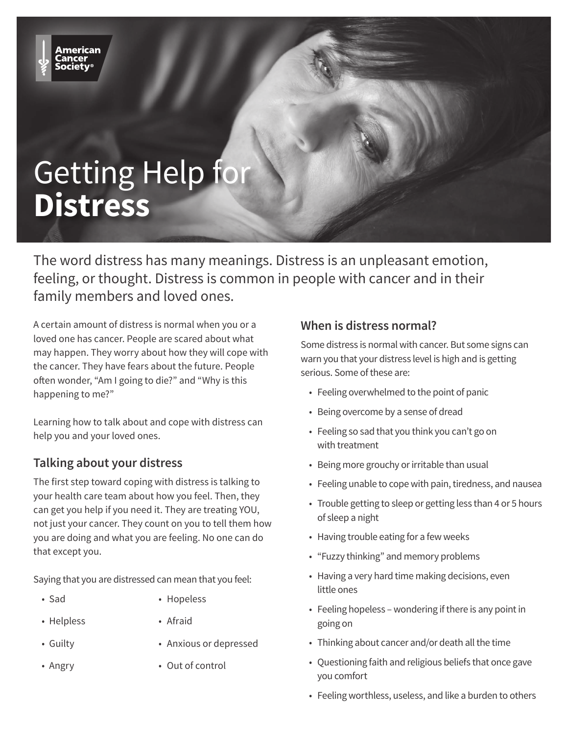# Getting Help for **Distress**

The word distress has many meanings. Distress is an unpleasant emotion, feeling, or thought. Distress is common in people with cancer and in their family members and loved ones.

A certain amount of distress is normal when you or a loved one has cancer. People are scared about what may happen. They worry about how they will cope with the cancer. They have fears about the future. People often wonder, "Am I going to die?" and "Why is this happening to me?"

Learning how to talk about and cope with distress can help you and your loved ones.

### **Talking about your distress**

The first step toward coping with distress is talking to your health care team about how you feel. Then, they can get you help if you need it. They are treating YOU, not just your cancer. They count on you to tell them how you are doing and what you are feeling. No one can do that except you.

Saying that you are distressed can mean that you feel:

- Sad Hopeless
- Helpless Afraid
- 
- Guilty Anxious or depressed
- 
- Angry Out of control

### **When is distress normal?**

Some distress is normal with cancer. But some signs can warn you that your distress level is high and is getting serious. Some of these are:

- Feeling overwhelmed to the point of panic
- Being overcome by a sense of dread
- Feeling so sad that you think you can't go on with treatment
- Being more grouchy or irritable than usual
- Feeling unable to cope with pain, tiredness, and nausea
- Trouble getting to sleep or getting less than 4 or 5 hours of sleep a night
- Having trouble eating for a few weeks
- "Fuzzy thinking" and memory problems
- Having a very hard time making decisions, even little ones
- Feeling hopeless wondering if there is any point in going on
- Thinking about cancer and/or death all the time
- Questioning faith and religious beliefs that once gave you comfort
- Feeling worthless, useless, and like a burden to others